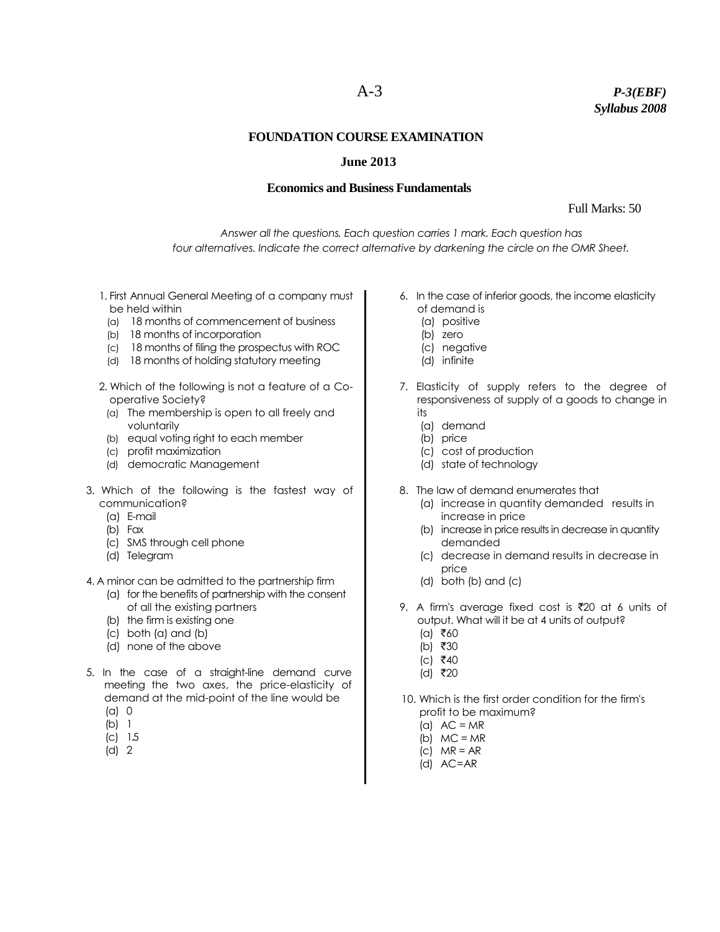# A-3 *P-3(EBF) Syllabus 2008*

### **FOUNDATION COURSE EXAMINATION**

## **June 2013**

#### **Economics and Business Fundamentals**

Full Marks: 50

*Answer all the questions. Each question carries 1 mark. Each question has four alternatives. Indicate the correct alternative by darkening the circle on the OMR Sheet.*

- 1. First Annual General Meeting of a company must be held within
- (a) 18 months of commencement of business
- (b) 18 months of incorporation
- (c) 18 months of filing the prospectus with ROC
- (d) 18 months of holding statutory meeting
- 2. Which of the following is not a feature of a Cooperative Society?
	- (a) The membership is open to all freely and voluntarily
- (b) equal voting right to each member
- (c) profit maximization
- (d) democratic Management
- 3. Which of the following is the fastest way of communication?
	- (a) E-mail
	- (b) Fax
	- (c) SMS through cell phone
	- (d) Telegram
- 4. A minor can be admitted to the partnership firm
	- (a) for the benefits of partnership with the consent of all the existing partners
	- (b) the firm is existing one
	- (c) both (a) and (b)
	- (d) none of the above
- 5. In the case of a straight-line demand curve meeting the two axes, the price-elasticity of demand at the mid-point of the line would be (a) 0
	- (b) 1
		-
	- (c) 1.5 (d) 2
- 6. In the case of inferior goods, the income elasticity of demand is
	- (a) positive
	- (b) zero
	- (c) negative
	- (d) infinite
- 7. Elasticity of supply refers to the degree of responsiveness of supply of a goods to change in its
	- (a) demand
	- (b) price
	- (c) cost of production
	- (d) state of technology
- 8. The law of demand enumerates that
	- (a) increase in quantity demanded results in increase in price
	- (b) increase in price results in decrease in quantity demanded
	- (c) decrease in demand results in decrease in price
	- (d) both (b) and (c)
- 9. A firm's average fixed cost is  $\overline{5}20$  at 6 units of output. What will it be at 4 units of output?
	- $(a)$  ₹60
	- (b) ₹30
	- $(c)$  ₹40
	- (d) ₹20
- 10. Which is the first order condition for the firm's profit to be maximum?
	- (a)  $AC = MR$
	- (b)  $MC = MR$
	- (c) MR = AR
	- (d) AC=AR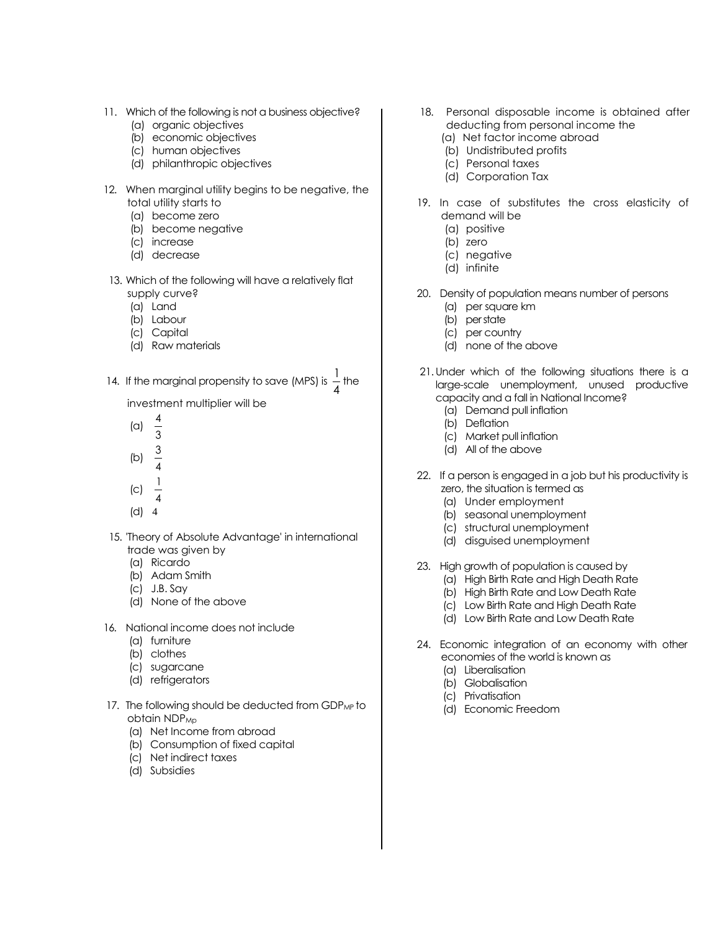- 11. Which of the following is not a business objective?
	- (a) organic objectives
	- (b) economic objectives
	- (c) human objectives
	- (d) philanthropic objectives
- 12. When marginal utility begins to be negative, the total utility starts to
	- (a) become zero
	- (b) become negative
	- (c) increase
	- (d) decrease
- 13. Which of the following will have a relatively flat supply curve?
	- (a) Land
	- (b) Labour
	- (c) Capital
	- (d) Raw materials
- 14. If the marginal propensity to save (MPS) is  $\frac{1}{4}$  $\frac{1}{4}$  the
	- investment multiplier will be
	- (a) 4
	- 3
	- (b) 3
	- 4
	- (c) 1
	- 4 (d) 4
- 15. 'Theory of Absolute Advantage' in international trade was given by
	- (a) Ricardo
	- (b) Adam Smith
	- (c) J.B. Say
	- (d) None of the above
- 16. National income does not include
	- (a) furniture
	- (b) clothes
	- (c) sugarcane
	- (d) refrigerators
- 17. The following should be deducted from GDP<sub>MP</sub> to obtain NDP<sub>Mp</sub>
	- (a) Net Income from abroad
	- (b) Consumption of fixed capital
	- (c) Net indirect taxes
	- (d) Subsidies
- 18. Personal disposable income is obtained after deducting from personal income the
	- (a) Net factor income abroad
	- (b) Undistributed profits
	- (c) Personal taxes
	- (d) Corporation Tax
- 19. In case of substitutes the cross elasticity of demand will be
	- (a) positive
	- (b) zero
	- (c) negative
	- (d) infinite
- 20. Density of population means number of persons
	- (a) per square km
	- (b) per state
	- (c) per country
	- (d) none of the above
- 21.Under which of the following situations there is a large-scale unemployment, unused productive capacity and a fall in National Income?
	- (a) Demand pull inflation
	- (b) Deflation
	- (c) Market pull inflation
	- (d) All of the above
- 22. If a person is engaged in a job but his productivity is zero, the situation is termed as
	- (a) Under employment
	- (b) seasonal unemployment
	- (c) structural unemployment
	- (d) disguised unemployment
- 23. High growth of population is caused by
	- (a) High Birth Rate and High Death Rate
	- (b) High Birth Rate and Low Death Rate
	- (c) Low Birth Rate and High Death Rate
	- (d) Low Birth Rate and Low Death Rate
- 24. Economic integration of an economy with other economies of the world is known as
	- (a) Liberalisation
	- (b) Globalisation
	- (c) Privatisation
	- (d) Economic Freedom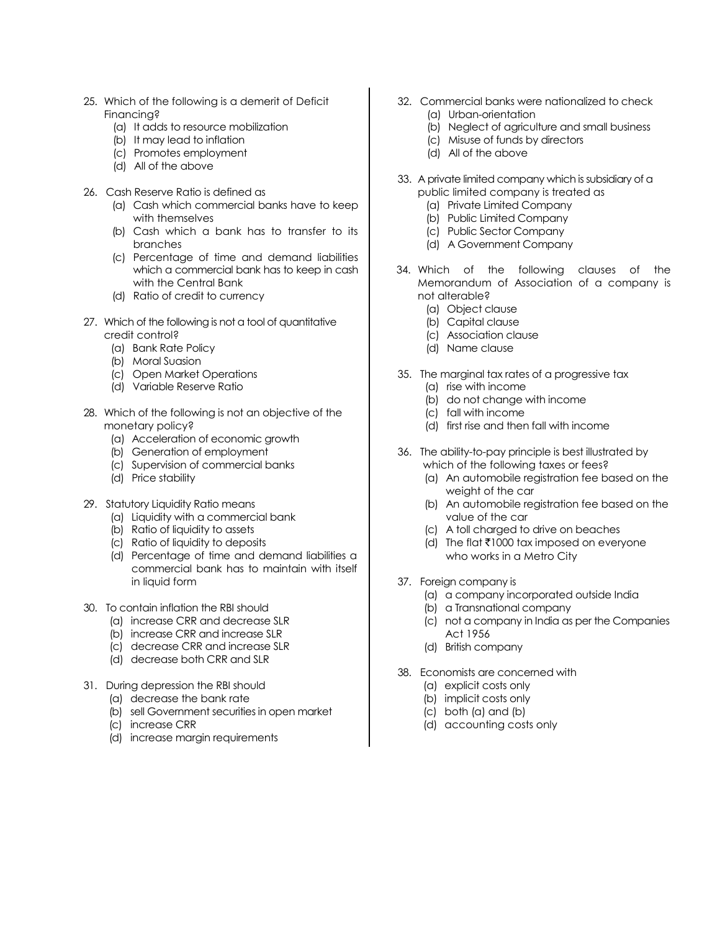- 25. Which of the following is a demerit of Deficit Financing?
	- (a) It adds to resource mobilization
	- (b) It may lead to inflation
	- (c) Promotes employment
	- (d) All of the above
- 26. Cash Reserve Ratio is defined as
	- (a) Cash which commercial banks have to keep with themselves
	- (b) Cash which a bank has to transfer to its branches
	- (c) Percentage of time and demand liabilities which a commercial bank has to keep in cash with the Central Bank
	- (d) Ratio of credit to currency
- 27. Which of the following is not a tool of quantitative credit control?
	- (a) Bank Rate Policy
	- (b) Moral Suasion
	- (c) Open Market Operations
	- (d) Variable Reserve Ratio
- 28. Which of the following is not an objective of the monetary policy?
	- (a) Acceleration of economic growth
	- (b) Generation of employment
	- (c) Supervision of commercial banks
	- (d) Price stability
- 29. Statutory Liquidity Ratio means
	- (a) Liquidity with a commercial bank
	- (b) Ratio of liquidity to assets
	- (c) Ratio of liquidity to deposits
	- (d) Percentage of time and demand liabilities a commercial bank has to maintain with itself in liquid form
- 30. To contain inflation the RBI should
	- (a) increase CRR and decrease SLR
	- (b) increase CRR and increase SLR
	- (c) decrease CRR and increase SLR
	- (d) decrease both CRR and SLR
- 31. During depression the RBI should
	- (a) decrease the bank rate
	- (b) sell Government securities in open market
	- (c) increase CRR
	- (d) increase margin requirements
- 32. Commercial banks were nationalized to check (a) Urban-orientation
	- (b) Neglect of agriculture and small business
	- (c) Misuse of funds by directors
	- (d) All of the above
- 33. A private limited company which is subsidiary of a public limited company is treated as
	- (a) Private Limited Company
	- (b) Public Limited Company
	- (c) Public Sector Company
	- (d) A Government Company
- 34. Which of the following clauses of the Memorandum of Association of a company is not alterable?
	- (a) Object clause
	- (b) Capital clause
	- (c) Association clause
	- (d) Name clause
- 35. The marginal tax rates of a progressive tax
	- (a) rise with income
	- (b) do not change with income
	- (c) fall with income
	- (d) first rise and then fall with income
- 36. The ability-to-pay principle is best illustrated by which of the following taxes or fees?
	- (a) An automobile registration fee based on the weight of the car
	- (b) An automobile registration fee based on the value of the car
	- (c) A toll charged to drive on beaches
	- (d) The flat  $\bar{\tau}$ 1000 tax imposed on everyone who works in a Metro City
- 37. Foreign company is
	- (a) a company incorporated outside India
	- (b) a Transnational company
	- (c) not a company in India as per the Companies Act 1956
	- (d) British company
- 38. Economists are concerned with
	- (a) explicit costs only
	- (b) implicit costs only
	- (c) both (a) and (b)
	- (d) accounting costs only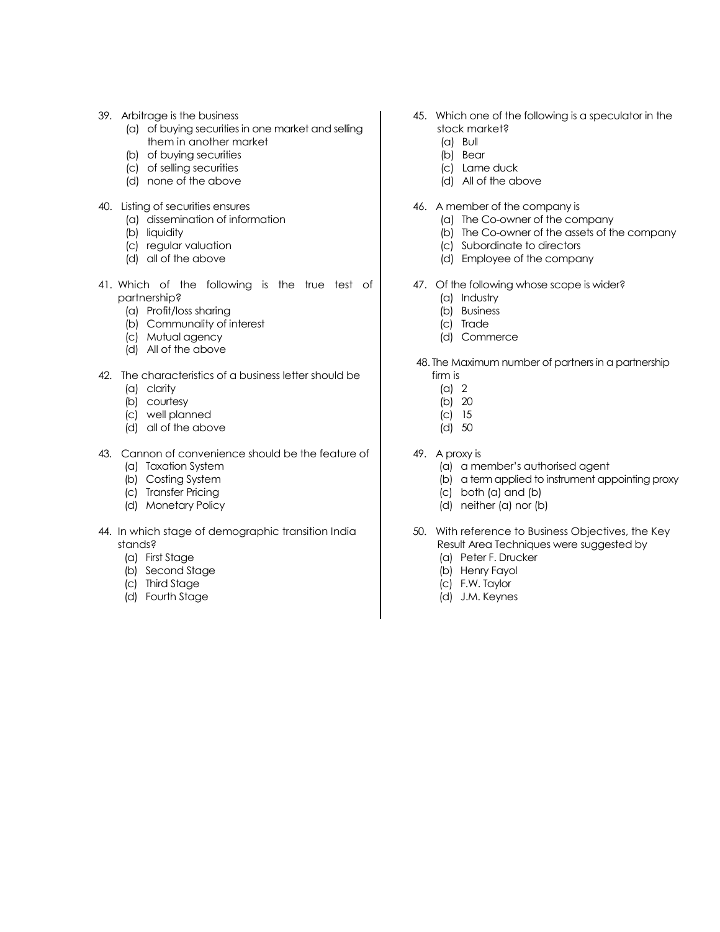- 39. Arbitrage is the business
	- (a) of buying securities in one market and selling them in another market
	- (b) of buying securities
	- (c) of selling securities
	- (d) none of the above
- 40. Listing of securities ensures
	- (a) dissemination of information
	- (b) liquidity
	- (c) regular valuation
	- (d) all of the above
- 41. Which of the following is the true test of partnership?
	- (a) Profit/loss sharing
	- (b) Communality of interest
	- (c) Mutual agency
	- (d) All of the above
- 42. The characteristics of a business letter should be
	- (a) clarity
	- (b) courtesy
	- (c) well planned
	- (d) all of the above
- 43. Cannon of convenience should be the feature of
	- (a) Taxation System
	- (b) Costing System
	- (c) Transfer Pricing
	- (d) Monetary Policy
- 44. In which stage of demographic transition India stands?
	- (a) First Stage
	- (b) Second Stage
	- (c) Third Stage
	- (d) Fourth Stage
- 45. Which one of the following is a speculator in the stock market?
	- (a) Bull
	- (b) Bear
	- (c) Lame duck
	- (d) All of the above
- 46. A member of the company is
	- (a) The Co-owner of the company
	- (b) The Co-owner of the assets of the company
	- (c) Subordinate to directors
	- (d) Employee of the company
- 47. Of the following whose scope is wider?
	- (a) Industry
	- (b) Business
	- (c) Trade
	- (d) Commerce
- 48. The Maximum number of partners in a partnership firm is
	- (a) 2
	- (b) 20
	- (c) 15
	- (d) 50
- 49. A proxy is
	- (a) a member's authorised agent
	- (b) a term applied to instrument appointing proxy
	- (c) both (a) and (b)
	- (d) neither (a) nor (b)
- 50. With reference to Business Objectives, the Key Result Area Techniques were suggested by (a) Peter F. Drucker
	- (b) Henry Fayol
	- (c) F.W. Taylor
	- (d) J.M. Keynes
	-